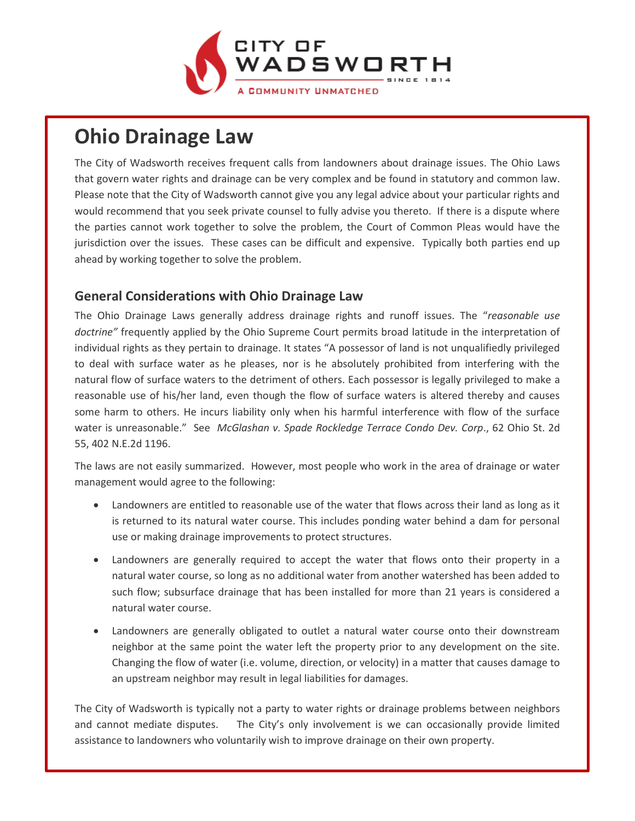

# **Ohio Drainage Law**

The City of Wadsworth receives frequent calls from landowners about drainage issues. The Ohio Laws that govern water rights and drainage can be very complex and be found in statutory and common law. Please note that the City of Wadsworth cannot give you any legal advice about your particular rights and would recommend that you seek private counsel to fully advise you thereto. If there is a dispute where the parties cannot work together to solve the problem, the Court of Common Pleas would have the jurisdiction over the issues. These cases can be difficult and expensive. Typically both parties end up ahead by working together to solve the problem.

## **General Considerations with Ohio Drainage Law**

The Ohio Drainage Laws generally address drainage rights and runoff issues. The "*reasonable use doctrine"* frequently applied by the Ohio Supreme Court permits broad latitude in the interpretation of individual rights as they pertain to drainage. It states "A possessor of land is not unqualifiedly privileged to deal with surface water as he pleases, nor is he absolutely prohibited from interfering with the natural flow of surface waters to the detriment of others. Each possessor is legally privileged to make a reasonable use of his/her land, even though the flow of surface waters is altered thereby and causes some harm to others. He incurs liability only when his harmful interference with flow of the surface water is unreasonable." See *McGlashan v. Spade Rockledge Terrace Condo Dev. Corp*., 62 Ohio St. 2d 55, 402 N.E.2d 1196.

The laws are not easily summarized. However, most people who work in the area of drainage or water management would agree to the following:

- Landowners are entitled to reasonable use of the water that flows across their land as long as it is returned to its natural water course. This includes ponding water behind a dam for personal use or making drainage improvements to protect structures.
- Landowners are generally required to accept the water that flows onto their property in a natural water course, so long as no additional water from another watershed has been added to such flow; subsurface drainage that has been installed for more than 21 years is considered a natural water course.
- Landowners are generally obligated to outlet a natural water course onto their downstream neighbor at the same point the water left the property prior to any development on the site. Changing the flow of water (i.e. volume, direction, or velocity) in a matter that causes damage to an upstream neighbor may result in legal liabilities for damages.

The City of Wadsworth is typically not a party to water rights or drainage problems between neighbors and cannot mediate disputes. The City's only involvement is we can occasionally provide limited assistance to landowners who voluntarily wish to improve drainage on their own property.